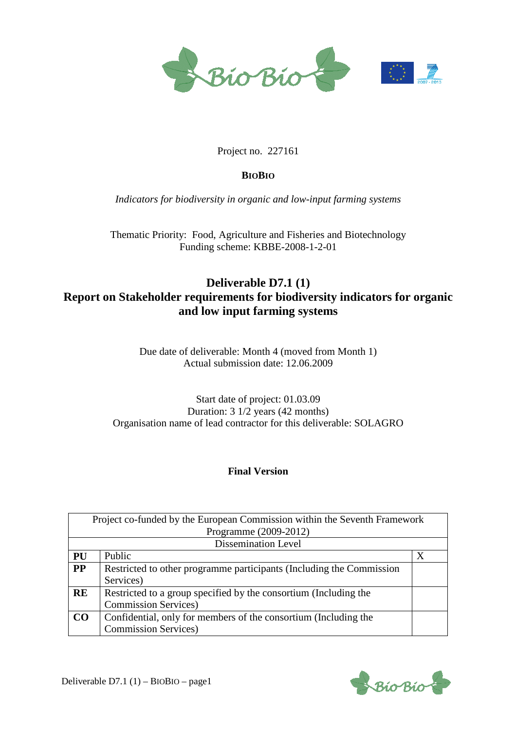

#### Project no. 227161

#### **BIOBIO**

*Indicators for biodiversity in organic and low-input farming systems* 

Thematic Priority: Food, Agriculture and Fisheries and Biotechnology Funding scheme: KBBE-2008-1-2-01

## **Deliverable D7.1 (1) Report on Stakeholder requirements for biodiversity indicators for organic and low input farming systems**

Due date of deliverable: Month 4 (moved from Month 1) Actual submission date: 12.06.2009

Start date of project: 01.03.09 Duration: 3 1/2 years (42 months) Organisation name of lead contractor for this deliverable: SOLAGRO

#### **Final Version**

| Project co-funded by the European Commission within the Seventh Framework |                                                                      |   |  |
|---------------------------------------------------------------------------|----------------------------------------------------------------------|---|--|
|                                                                           | Programme (2009-2012)                                                |   |  |
| <b>Dissemination Level</b>                                                |                                                                      |   |  |
| <b>PU</b>                                                                 | Public                                                               | X |  |
| <b>PP</b>                                                                 | Restricted to other programme participants (Including the Commission |   |  |
|                                                                           | Services)                                                            |   |  |
| RE                                                                        | Restricted to a group specified by the consortium (Including the     |   |  |
|                                                                           | <b>Commission Services</b> )                                         |   |  |
| CO                                                                        | Confidential, only for members of the consortium (Including the      |   |  |
|                                                                           | <b>Commission Services</b> )                                         |   |  |

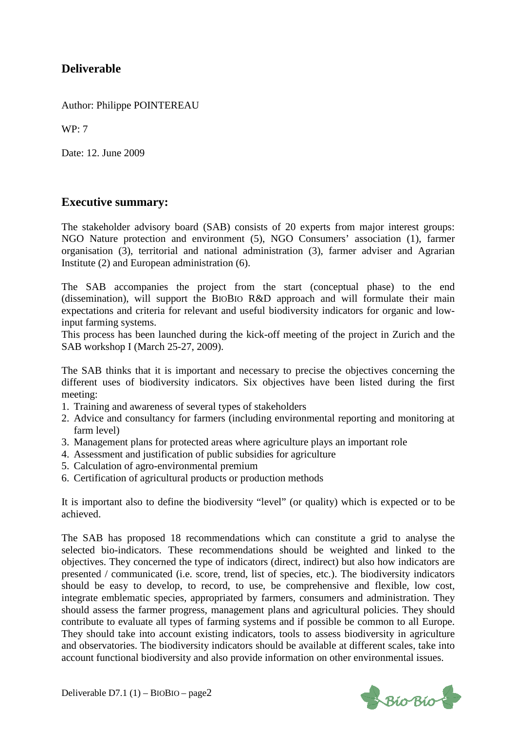## **Deliverable**

Author: Philippe POINTEREAU

WP: 7

Date: 12. June 2009

### **Executive summary:**

The stakeholder advisory board (SAB) consists of 20 experts from major interest groups: NGO Nature protection and environment (5), NGO Consumers' association (1), farmer organisation (3), territorial and national administration (3), farmer adviser and Agrarian Institute (2) and European administration (6).

The SAB accompanies the project from the start (conceptual phase) to the end (dissemination), will support the BIOBIO R&D approach and will formulate their main expectations and criteria for relevant and useful biodiversity indicators for organic and lowinput farming systems.

This process has been launched during the kick-off meeting of the project in Zurich and the SAB workshop I (March 25-27, 2009).

The SAB thinks that it is important and necessary to precise the objectives concerning the different uses of biodiversity indicators. Six objectives have been listed during the first meeting:

- 1. Training and awareness of several types of stakeholders
- 2. Advice and consultancy for farmers (including environmental reporting and monitoring at farm level)
- 3. Management plans for protected areas where agriculture plays an important role
- 4. Assessment and justification of public subsidies for agriculture
- 5. Calculation of agro-environmental premium
- 6. Certification of agricultural products or production methods

It is important also to define the biodiversity "level" (or quality) which is expected or to be achieved.

The SAB has proposed 18 recommendations which can constitute a grid to analyse the selected bio-indicators. These recommendations should be weighted and linked to the objectives. They concerned the type of indicators (direct, indirect) but also how indicators are presented / communicated (i.e. score, trend, list of species, etc.). The biodiversity indicators should be easy to develop, to record, to use, be comprehensive and flexible, low cost, integrate emblematic species, appropriated by farmers, consumers and administration. They should assess the farmer progress, management plans and agricultural policies. They should contribute to evaluate all types of farming systems and if possible be common to all Europe. They should take into account existing indicators, tools to assess biodiversity in agriculture and observatories. The biodiversity indicators should be available at different scales, take into account functional biodiversity and also provide information on other environmental issues.

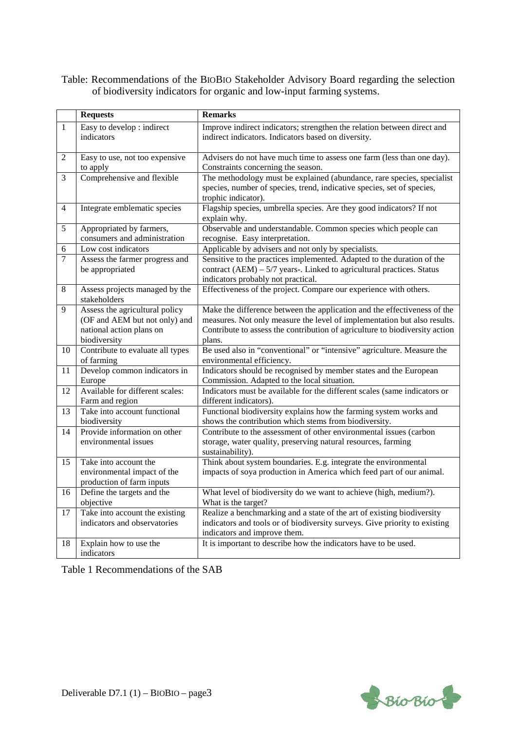#### Table: Recommendations of the BIOBIO Stakeholder Advisory Board regarding the selection of biodiversity indicators for organic and low-input farming systems.

|                | <b>Requests</b>                                                                                             | <b>Remarks</b>                                                                                                                                                                                                                                |
|----------------|-------------------------------------------------------------------------------------------------------------|-----------------------------------------------------------------------------------------------------------------------------------------------------------------------------------------------------------------------------------------------|
| $\mathbf{1}$   | Easy to develop : indirect<br>indicators                                                                    | Improve indirect indicators; strengthen the relation between direct and<br>indirect indicators. Indicators based on diversity.                                                                                                                |
| $\overline{c}$ | Easy to use, not too expensive<br>to apply                                                                  | Advisers do not have much time to assess one farm (less than one day).<br>Constraints concerning the season.                                                                                                                                  |
| 3              | Comprehensive and flexible                                                                                  | The methodology must be explained (abundance, rare species, specialist<br>species, number of species, trend, indicative species, set of species,<br>trophic indicator).                                                                       |
| $\overline{4}$ | Integrate emblematic species                                                                                | Flagship species, umbrella species. Are they good indicators? If not<br>explain why.                                                                                                                                                          |
| 5              | Appropriated by farmers,<br>consumers and administration                                                    | Observable and understandable. Common species which people can<br>recognise. Easy interpretation.                                                                                                                                             |
| 6              | Low cost indicators                                                                                         | Applicable by advisers and not only by specialists.                                                                                                                                                                                           |
| $\tau$         | Assess the farmer progress and<br>be appropriated                                                           | Sensitive to the practices implemented. Adapted to the duration of the<br>contract $(AEM) - 5/7$ years-. Linked to agricultural practices. Status<br>indicators probably not practical.                                                       |
| $\,8\,$        | Assess projects managed by the<br>stakeholders                                                              | Effectiveness of the project. Compare our experience with others.                                                                                                                                                                             |
| 9              | Assess the agricultural policy<br>(OF and AEM but not only) and<br>national action plans on<br>biodiversity | Make the difference between the application and the effectiveness of the<br>measures. Not only measure the level of implementation but also results.<br>Contribute to assess the contribution of agriculture to biodiversity action<br>plans. |
| 10             | Contribute to evaluate all types<br>of farming                                                              | Be used also in "conventional" or "intensive" agriculture. Measure the<br>environmental efficiency.                                                                                                                                           |
| 11             | Develop common indicators in<br>Europe                                                                      | Indicators should be recognised by member states and the European<br>Commission. Adapted to the local situation.                                                                                                                              |
| 12             | Available for different scales:<br>Farm and region                                                          | Indicators must be available for the different scales (same indicators or<br>different indicators).                                                                                                                                           |
| 13             | Take into account functional<br>biodiversity                                                                | Functional biodiversity explains how the farming system works and<br>shows the contribution which stems from biodiversity.                                                                                                                    |
| 14             | Provide information on other<br>environmental issues                                                        | Contribute to the assessment of other environmental issues (carbon<br>storage, water quality, preserving natural resources, farming<br>sustainability).                                                                                       |
| 15             | Take into account the<br>environmental impact of the<br>production of farm inputs                           | Think about system boundaries. E.g. integrate the environmental<br>impacts of soya production in America which feed part of our animal.                                                                                                       |
| 16             | Define the targets and the<br>objective                                                                     | What level of biodiversity do we want to achieve (high, medium?).<br>What is the target?                                                                                                                                                      |
| 17             | Take into account the existing<br>indicators and observatories                                              | Realize a benchmarking and a state of the art of existing biodiversity<br>indicators and tools or of biodiversity surveys. Give priority to existing<br>indicators and improve them.                                                          |
| 18             | Explain how to use the<br>indicators                                                                        | It is important to describe how the indicators have to be used.                                                                                                                                                                               |

Table 1 Recommendations of the SAB

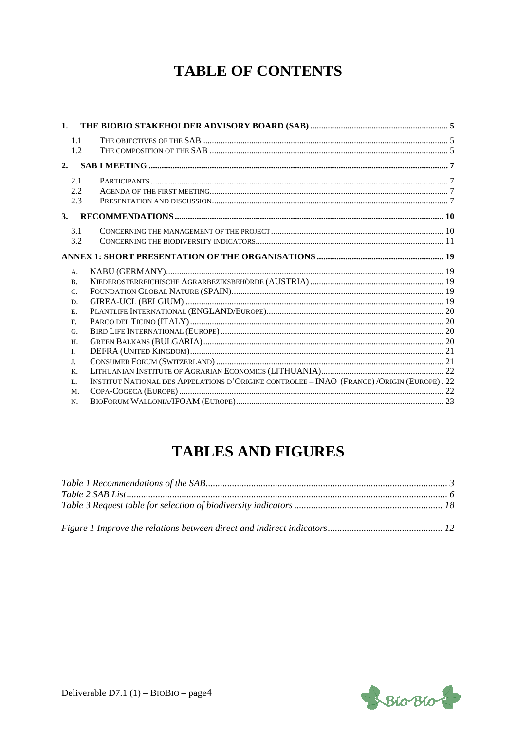# **TABLE OF CONTENTS**

| 1. |                |                                                                                           |  |
|----|----------------|-------------------------------------------------------------------------------------------|--|
|    | 1.1            |                                                                                           |  |
|    | 1.2            |                                                                                           |  |
| 2. |                |                                                                                           |  |
|    | 2.1            |                                                                                           |  |
|    | 2.2.           |                                                                                           |  |
|    | 2.3            |                                                                                           |  |
| 3. |                |                                                                                           |  |
|    | 3.1            |                                                                                           |  |
|    | 3.2            |                                                                                           |  |
|    |                |                                                                                           |  |
|    | A.             |                                                                                           |  |
|    | <b>B.</b>      |                                                                                           |  |
|    | C.             |                                                                                           |  |
|    | D.             |                                                                                           |  |
|    | E.             |                                                                                           |  |
|    | F <sub>r</sub> |                                                                                           |  |
|    | G.             |                                                                                           |  |
|    | H.             |                                                                                           |  |
|    | I.             |                                                                                           |  |
|    | J.             |                                                                                           |  |
|    | K.             |                                                                                           |  |
|    | $L_{\alpha}$   | INSTITUT NATIONAL DES APPELATIONS D'ORIGINE CONTROLEE - INAO (FRANCE)/ORIGIN (EUROPE). 22 |  |
|    | M.             |                                                                                           |  |
|    | N.             |                                                                                           |  |

# **TABLES AND FIGURES**

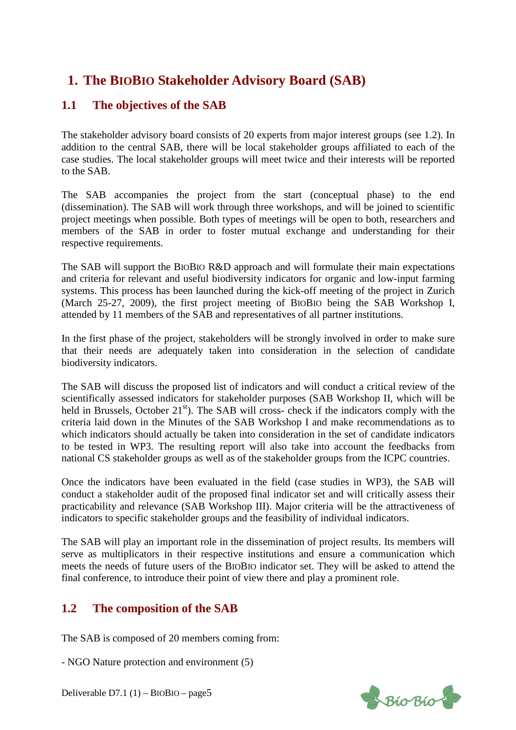## **1. The BIOBIO Stakeholder Advisory Board (SAB)**

## **1.1 The objectives of the SAB**

The stakeholder advisory board consists of 20 experts from major interest groups (see 1.2). In addition to the central SAB, there will be local stakeholder groups affiliated to each of the case studies. The local stakeholder groups will meet twice and their interests will be reported to the SAB.

The SAB accompanies the project from the start (conceptual phase) to the end (dissemination). The SAB will work through three workshops, and will be joined to scientific project meetings when possible. Both types of meetings will be open to both, researchers and members of the SAB in order to foster mutual exchange and understanding for their respective requirements.

The SAB will support the BIOBIO R&D approach and will formulate their main expectations and criteria for relevant and useful biodiversity indicators for organic and low-input farming systems. This process has been launched during the kick-off meeting of the project in Zurich (March 25-27, 2009), the first project meeting of BIOBIO being the SAB Workshop I, attended by 11 members of the SAB and representatives of all partner institutions.

In the first phase of the project, stakeholders will be strongly involved in order to make sure that their needs are adequately taken into consideration in the selection of candidate biodiversity indicators.

The SAB will discuss the proposed list of indicators and will conduct a critical review of the scientifically assessed indicators for stakeholder purposes (SAB Workshop II, which will be held in Brussels, October 21<sup>st</sup>). The SAB will cross- check if the indicators comply with the criteria laid down in the Minutes of the SAB Workshop I and make recommendations as to which indicators should actually be taken into consideration in the set of candidate indicators to be tested in WP3. The resulting report will also take into account the feedbacks from national CS stakeholder groups as well as of the stakeholder groups from the ICPC countries.

Once the indicators have been evaluated in the field (case studies in WP3), the SAB will conduct a stakeholder audit of the proposed final indicator set and will critically assess their practicability and relevance (SAB Workshop III). Major criteria will be the attractiveness of indicators to specific stakeholder groups and the feasibility of individual indicators.

The SAB will play an important role in the dissemination of project results. Its members will serve as multiplicators in their respective institutions and ensure a communication which meets the needs of future users of the BIOBIO indicator set. They will be asked to attend the final conference, to introduce their point of view there and play a prominent role.

## **1.2 The composition of the SAB**

The SAB is composed of 20 members coming from:

- NGO Nature protection and environment (5)

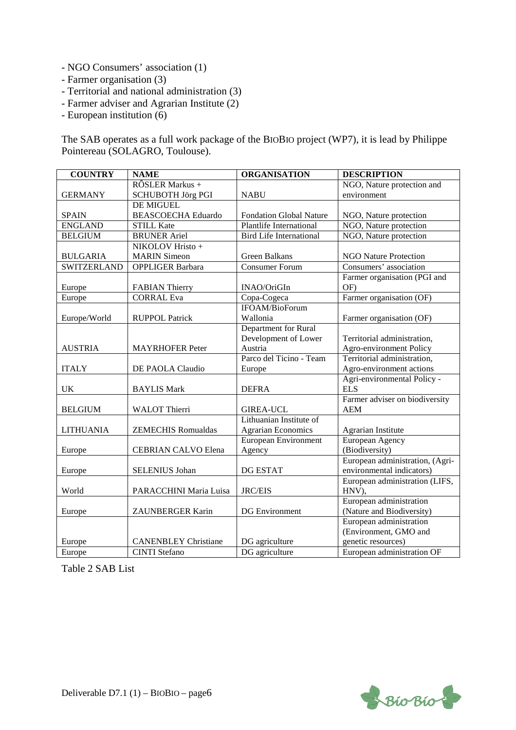- NGO Consumers' association (1)
- Farmer organisation (3)
- Territorial and national administration (3)
- Farmer adviser and Agrarian Institute (2)
- European institution (6)

The SAB operates as a full work package of the BIOBIO project (WP7), it is lead by Philippe Pointereau (SOLAGRO, Toulouse).

| <b>COUNTRY</b>     | <b>NAME</b>                 | <b>ORGANISATION</b>            | <b>DESCRIPTION</b>              |
|--------------------|-----------------------------|--------------------------------|---------------------------------|
|                    | RÔSLER Markus +             |                                | NGO, Nature protection and      |
| <b>GERMANY</b>     | <b>SCHUBOTH Jörg PGI</b>    | <b>NABU</b>                    | environment                     |
|                    | DE MIGUEL                   |                                |                                 |
| <b>SPAIN</b>       | <b>BEASCOECHA Eduardo</b>   | <b>Fondation Global Nature</b> | NGO, Nature protection          |
| <b>ENGLAND</b>     | <b>STILL Kate</b>           | <b>Plantlife International</b> | NGO, Nature protection          |
| <b>BELGIUM</b>     | <b>BRUNER</b> Ariel         | <b>Bird Life International</b> | NGO, Nature protection          |
|                    | NIKOLOV Hristo +            |                                |                                 |
| <b>BULGARIA</b>    | <b>MARIN</b> Simeon         | Green Balkans                  | <b>NGO Nature Protection</b>    |
| <b>SWITZERLAND</b> | OPPLIGER Barbara            | <b>Consumer Forum</b>          | Consumers' association          |
|                    |                             |                                | Farmer organisation (PGI and    |
| Europe             | <b>FABIAN Thierry</b>       | INAO/OriGIn                    | OF)                             |
| Europe             | <b>CORRAL Eva</b>           | Copa-Cogeca                    | Farmer organisation (OF)        |
|                    |                             | IFOAM/BioForum                 |                                 |
| Europe/World       | <b>RUPPOL Patrick</b>       | Wallonia                       | Farmer organisation (OF)        |
|                    |                             | Department for Rural           |                                 |
|                    |                             | Development of Lower           | Territorial administration,     |
| <b>AUSTRIA</b>     | <b>MAYRHOFER Peter</b>      | Austria                        | Agro-environment Policy         |
|                    |                             | Parco del Ticino - Team        | Territorial administration,     |
| <b>ITALY</b>       | DE PAOLA Claudio            | Europe                         | Agro-environment actions        |
|                    |                             |                                | Agri-environmental Policy -     |
| <b>UK</b>          | <b>BAYLIS Mark</b>          | <b>DEFRA</b>                   | <b>ELS</b>                      |
|                    |                             |                                | Farmer adviser on biodiversity  |
| <b>BELGIUM</b>     | WALOT Thierri               | <b>GIREA-UCL</b>               | <b>AEM</b>                      |
|                    |                             | Lithuanian Institute of        |                                 |
| <b>LITHUANIA</b>   | <b>ZEMECHIS Romualdas</b>   | <b>Agrarian Economics</b>      | Agrarian Institute              |
|                    |                             | European Environment           | European Agency                 |
| Europe             | CEBRIAN CALVO Elena         | Agency                         | (Biodiversity)                  |
|                    |                             |                                | European administration, (Agri- |
| Europe             | SELENIUS Johan              | <b>DG ESTAT</b>                | environmental indicators)       |
|                    |                             |                                | European administration (LIFS,  |
| World              | PARACCHINI Maria Luisa      | <b>JRC/EIS</b>                 | HNV),                           |
|                    |                             |                                | European administration         |
| Europe             | ZAUNBERGER Karin            | <b>DG</b> Environment          | (Nature and Biodiversity)       |
|                    |                             |                                | European administration         |
|                    |                             |                                | (Environment, GMO and           |
| Europe             | <b>CANENBLEY Christiane</b> | DG agriculture                 | genetic resources)              |
| Europe             | <b>CINTI</b> Stefano        | DG agriculture                 | European administration OF      |

Table 2 SAB List

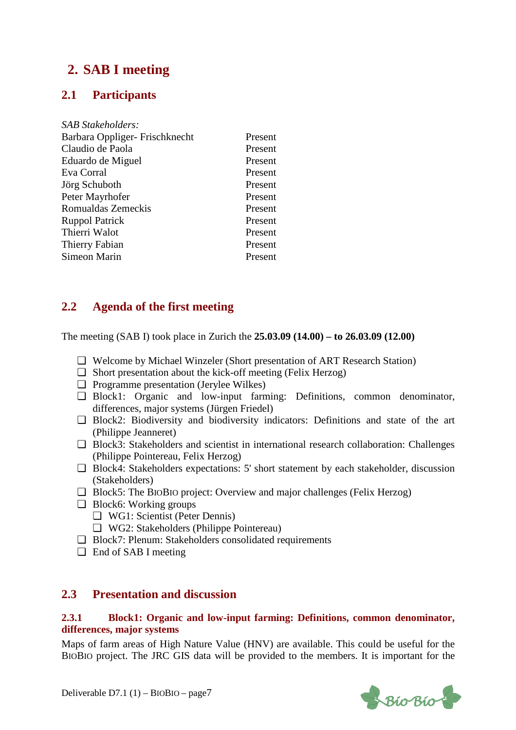## **2. SAB I meeting**

## **2.1 Participants**

| <b>SAB Stakeholders:</b>      |         |
|-------------------------------|---------|
| Barbara Oppliger-Frischknecht | Present |
| Claudio de Paola              | Present |
| Eduardo de Miguel             | Present |
| Eva Corral                    | Present |
| Jörg Schuboth                 | Present |
| Peter Mayrhofer               | Present |
| Romualdas Zemeckis            | Present |
| <b>Ruppol Patrick</b>         | Present |
| Thierri Walot                 | Present |
| Thierry Fabian                | Present |
| Simeon Marin                  | Present |
|                               |         |

## **2.2 Agenda of the first meeting**

The meeting (SAB I) took place in Zurich the **25.03.09 (14.00) – to 26.03.09 (12.00)** 

- ❏ Welcome by Michael Winzeler (Short presentation of ART Research Station)
- ❏ Short presentation about the kick-off meeting (Felix Herzog)
- ❏ Programme presentation (Jerylee Wilkes)
- ❏ Block1: Organic and low-input farming: Definitions, common denominator, differences, major systems (Jürgen Friedel)
- ❏ Block2: Biodiversity and biodiversity indicators: Definitions and state of the art (Philippe Jeanneret)
- ❏ Block3: Stakeholders and scientist in international research collaboration: Challenges (Philippe Pointereau, Felix Herzog)
- ❏ Block4: Stakeholders expectations: 5' short statement by each stakeholder, discussion (Stakeholders)
- ❏ Block5: The BIOBIO project: Overview and major challenges (Felix Herzog)
- ❏ Block6: Working groups
	- ❏ WG1: Scientist (Peter Dennis)
	- ❏ WG2: Stakeholders (Philippe Pointereau)
- ❏ Block7: Plenum: Stakeholders consolidated requirements
- ❏ End of SAB I meeting

### **2.3 Presentation and discussion**

#### **2.3.1 Block1: Organic and low-input farming: Definitions, common denominator, differences, major systems**

Maps of farm areas of High Nature Value (HNV) are available. This could be useful for the BIOBIO project. The JRC GIS data will be provided to the members. It is important for the

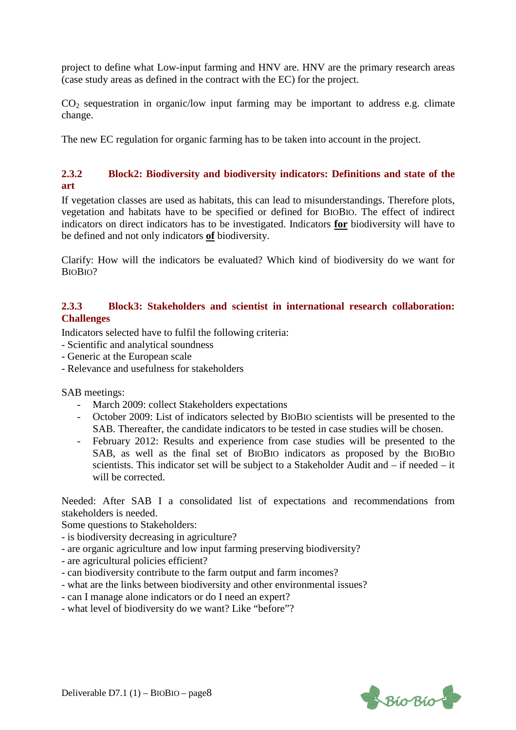project to define what Low-input farming and HNV are. HNV are the primary research areas (case study areas as defined in the contract with the EC) for the project.

 $CO<sub>2</sub>$  sequestration in organic/low input farming may be important to address e.g. climate change.

The new EC regulation for organic farming has to be taken into account in the project.

#### **2.3.2 Block2: Biodiversity and biodiversity indicators: Definitions and state of the art**

If vegetation classes are used as habitats, this can lead to misunderstandings. Therefore plots, vegetation and habitats have to be specified or defined for BIOBIO. The effect of indirect indicators on direct indicators has to be investigated. Indicators **for** biodiversity will have to be defined and not only indicators **of** biodiversity.

Clarify: How will the indicators be evaluated? Which kind of biodiversity do we want for BIOBIO?

#### **2.3.3 Block3: Stakeholders and scientist in international research collaboration: Challenges**

Indicators selected have to fulfil the following criteria:

- Scientific and analytical soundness
- Generic at the European scale
- Relevance and usefulness for stakeholders

SAB meetings:

- March 2009: collect Stakeholders expectations
- October 2009: List of indicators selected by BIOBIO scientists will be presented to the SAB. Thereafter, the candidate indicators to be tested in case studies will be chosen.
- February 2012: Results and experience from case studies will be presented to the SAB, as well as the final set of BIOBIO indicators as proposed by the BIOBIO scientists. This indicator set will be subject to a Stakeholder Audit and – if needed – it will be corrected.

Needed: After SAB I a consolidated list of expectations and recommendations from stakeholders is needed.

Some questions to Stakeholders:

- is biodiversity decreasing in agriculture?
- are organic agriculture and low input farming preserving biodiversity?
- are agricultural policies efficient?
- can biodiversity contribute to the farm output and farm incomes?
- what are the links between biodiversity and other environmental issues?
- can I manage alone indicators or do I need an expert?
- what level of biodiversity do we want? Like "before"?

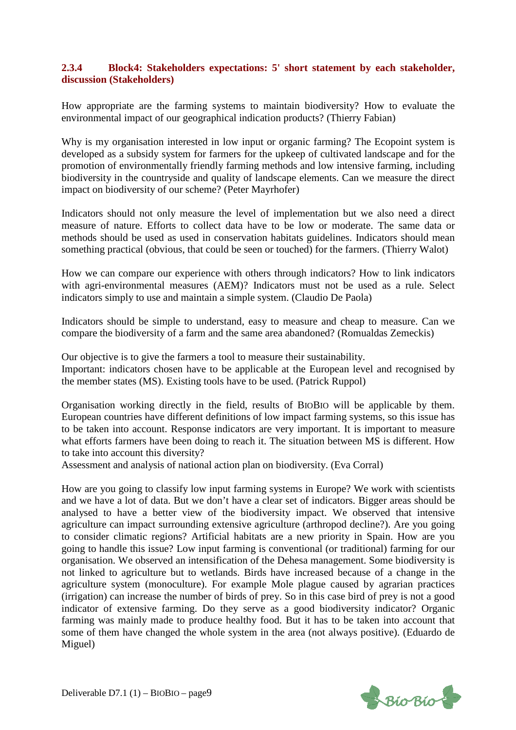#### **2.3.4 Block4: Stakeholders expectations: 5' short statement by each stakeholder, discussion (Stakeholders)**

How appropriate are the farming systems to maintain biodiversity? How to evaluate the environmental impact of our geographical indication products? (Thierry Fabian)

Why is my organisation interested in low input or organic farming? The Ecopoint system is developed as a subsidy system for farmers for the upkeep of cultivated landscape and for the promotion of environmentally friendly farming methods and low intensive farming, including biodiversity in the countryside and quality of landscape elements. Can we measure the direct impact on biodiversity of our scheme? (Peter Mayrhofer)

Indicators should not only measure the level of implementation but we also need a direct measure of nature. Efforts to collect data have to be low or moderate. The same data or methods should be used as used in conservation habitats guidelines. Indicators should mean something practical (obvious, that could be seen or touched) for the farmers. (Thierry Walot)

How we can compare our experience with others through indicators? How to link indicators with agri-environmental measures (AEM)? Indicators must not be used as a rule. Select indicators simply to use and maintain a simple system. (Claudio De Paola)

Indicators should be simple to understand, easy to measure and cheap to measure. Can we compare the biodiversity of a farm and the same area abandoned? (Romualdas Zemeckis)

Our objective is to give the farmers a tool to measure their sustainability. Important: indicators chosen have to be applicable at the European level and recognised by the member states (MS). Existing tools have to be used. (Patrick Ruppol)

Organisation working directly in the field, results of BIOBIO will be applicable by them. European countries have different definitions of low impact farming systems, so this issue has to be taken into account. Response indicators are very important. It is important to measure what efforts farmers have been doing to reach it. The situation between MS is different. How to take into account this diversity?

Assessment and analysis of national action plan on biodiversity. (Eva Corral)

How are you going to classify low input farming systems in Europe? We work with scientists and we have a lot of data. But we don't have a clear set of indicators. Bigger areas should be analysed to have a better view of the biodiversity impact. We observed that intensive agriculture can impact surrounding extensive agriculture (arthropod decline?). Are you going to consider climatic regions? Artificial habitats are a new priority in Spain. How are you going to handle this issue? Low input farming is conventional (or traditional) farming for our organisation. We observed an intensification of the Dehesa management. Some biodiversity is not linked to agriculture but to wetlands. Birds have increased because of a change in the agriculture system (monoculture). For example Mole plague caused by agrarian practices (irrigation) can increase the number of birds of prey. So in this case bird of prey is not a good indicator of extensive farming. Do they serve as a good biodiversity indicator? Organic farming was mainly made to produce healthy food. But it has to be taken into account that some of them have changed the whole system in the area (not always positive). (Eduardo de Miguel)

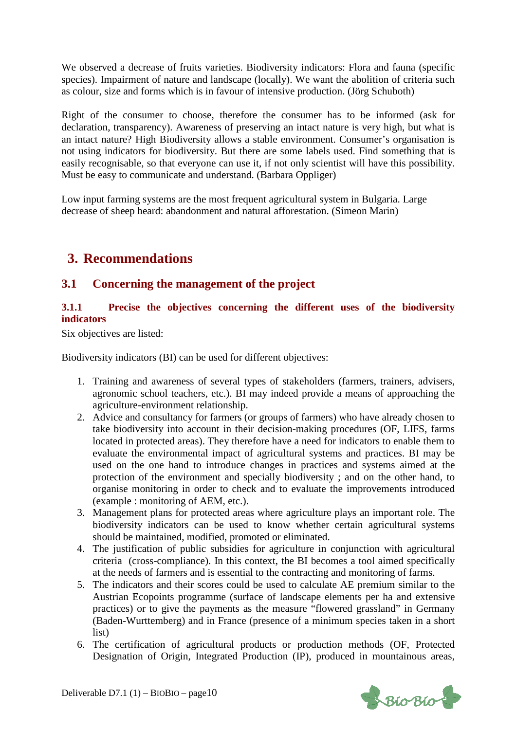We observed a decrease of fruits varieties. Biodiversity indicators: Flora and fauna (specific species). Impairment of nature and landscape (locally). We want the abolition of criteria such as colour, size and forms which is in favour of intensive production. (Jörg Schuboth)

Right of the consumer to choose, therefore the consumer has to be informed (ask for declaration, transparency). Awareness of preserving an intact nature is very high, but what is an intact nature? High Biodiversity allows a stable environment. Consumer's organisation is not using indicators for biodiversity. But there are some labels used. Find something that is easily recognisable, so that everyone can use it, if not only scientist will have this possibility. Must be easy to communicate and understand. (Barbara Oppliger)

Low input farming systems are the most frequent agricultural system in Bulgaria. Large decrease of sheep heard: abandonment and natural afforestation. (Simeon Marin)

## **3. Recommendations**

## **3.1 Concerning the management of the project**

#### **3.1.1 Precise the objectives concerning the different uses of the biodiversity indicators**

Six objectives are listed:

Biodiversity indicators (BI) can be used for different objectives:

- 1. Training and awareness of several types of stakeholders (farmers, trainers, advisers, agronomic school teachers, etc.). BI may indeed provide a means of approaching the agriculture-environment relationship.
- 2. Advice and consultancy for farmers (or groups of farmers) who have already chosen to take biodiversity into account in their decision-making procedures (OF, LIFS, farms located in protected areas). They therefore have a need for indicators to enable them to evaluate the environmental impact of agricultural systems and practices. BI may be used on the one hand to introduce changes in practices and systems aimed at the protection of the environment and specially biodiversity ; and on the other hand, to organise monitoring in order to check and to evaluate the improvements introduced (example : monitoring of AEM, etc.).
- 3. Management plans for protected areas where agriculture plays an important role. The biodiversity indicators can be used to know whether certain agricultural systems should be maintained, modified, promoted or eliminated.
- 4. The justification of public subsidies for agriculture in conjunction with agricultural criteria (cross-compliance). In this context, the BI becomes a tool aimed specifically at the needs of farmers and is essential to the contracting and monitoring of farms.
- 5. The indicators and their scores could be used to calculate AE premium similar to the Austrian Ecopoints programme (surface of landscape elements per ha and extensive practices) or to give the payments as the measure "flowered grassland" in Germany (Baden-Wurttemberg) and in France (presence of a minimum species taken in a short list)
- 6. The certification of agricultural products or production methods (OF, Protected Designation of Origin, Integrated Production (IP), produced in mountainous areas,

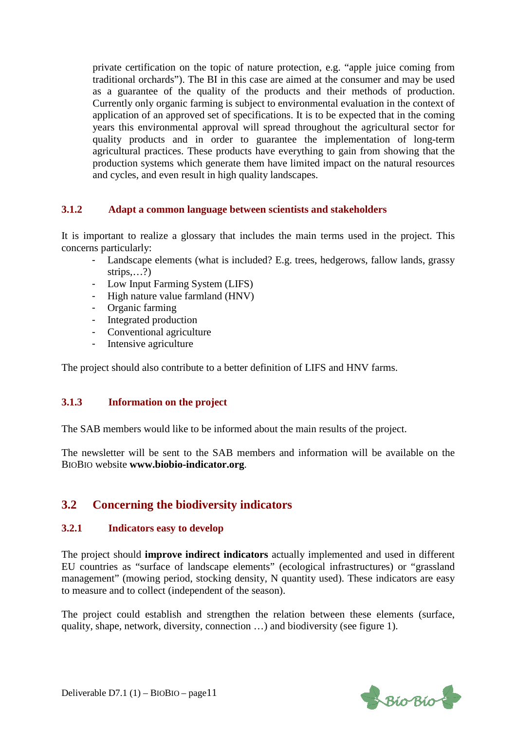private certification on the topic of nature protection, e.g. "apple juice coming from traditional orchards"). The BI in this case are aimed at the consumer and may be used as a guarantee of the quality of the products and their methods of production. Currently only organic farming is subject to environmental evaluation in the context of application of an approved set of specifications. It is to be expected that in the coming years this environmental approval will spread throughout the agricultural sector for quality products and in order to guarantee the implementation of long-term agricultural practices. These products have everything to gain from showing that the production systems which generate them have limited impact on the natural resources and cycles, and even result in high quality landscapes.

#### **3.1.2 Adapt a common language between scientists and stakeholders**

It is important to realize a glossary that includes the main terms used in the project. This concerns particularly:

- Landscape elements (what is included? E.g. trees, hedgerows, fallow lands, grassy strips....?)
- Low Input Farming System (LIFS)
- High nature value farmland (HNV)
- Organic farming
- Integrated production
- Conventional agriculture
- Intensive agriculture

The project should also contribute to a better definition of LIFS and HNV farms.

#### **3.1.3 Information on the project**

The SAB members would like to be informed about the main results of the project.

The newsletter will be sent to the SAB members and information will be available on the BIOBIO website **www.biobio-indicator.org**.

## **3.2 Concerning the biodiversity indicators**

#### **3.2.1 Indicators easy to develop**

The project should **improve indirect indicators** actually implemented and used in different EU countries as "surface of landscape elements" (ecological infrastructures) or "grassland management" (mowing period, stocking density, N quantity used). These indicators are easy to measure and to collect (independent of the season).

The project could establish and strengthen the relation between these elements (surface, quality, shape, network, diversity, connection …) and biodiversity (see figure 1).

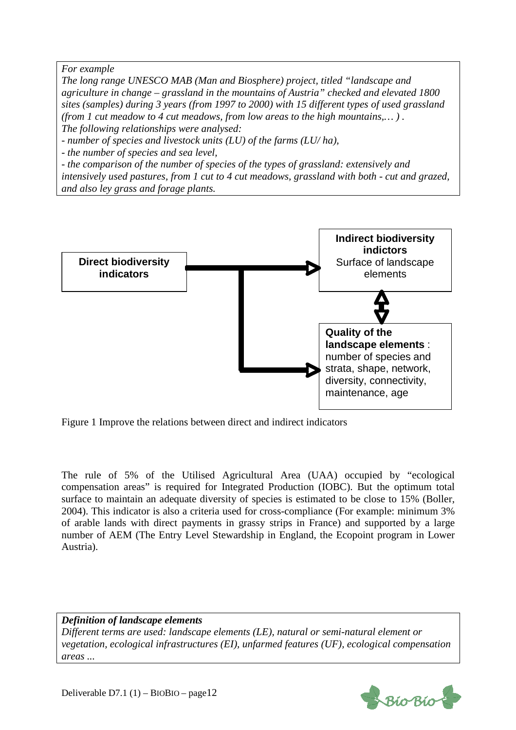*For example* 

*The long range UNESCO MAB (Man and Biosphere) project, titled "landscape and agriculture in change – grassland in the mountains of Austria" checked and elevated 1800 sites (samples) during 3 years (from 1997 to 2000) with 15 different types of used grassland (from 1 cut meadow to 4 cut meadows, from low areas to the high mountains,… ) . The following relationships were analysed:* 

*- number of species and livestock units (LU) of the farms (LU/ ha),* 

*- the number of species and sea level,* 

*- the comparison of the number of species of the types of grassland: extensively and intensively used pastures, from 1 cut to 4 cut meadows, grassland with both - cut and grazed, and also ley grass and forage plants.* 



Figure 1 Improve the relations between direct and indirect indicators

The rule of 5% of the Utilised Agricultural Area (UAA) occupied by "ecological compensation areas" is required for Integrated Production (IOBC). But the optimum total surface to maintain an adequate diversity of species is estimated to be close to 15% (Boller, 2004). This indicator is also a criteria used for cross-compliance (For example: minimum 3% of arable lands with direct payments in grassy strips in France) and supported by a large number of AEM (The Entry Level Stewardship in England, the Ecopoint program in Lower Austria).

#### *Definition of landscape elements*

*Different terms are used: landscape elements (LE), natural or semi-natural element or vegetation, ecological infrastructures (EI), unfarmed features (UF), ecological compensation areas ...* 

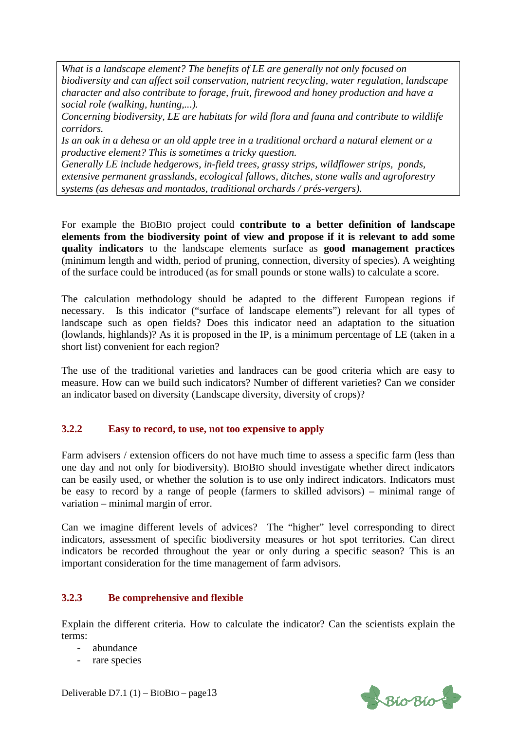*What is a landscape element? The benefits of LE are generally not only focused on biodiversity and can affect soil conservation, nutrient recycling, water regulation, landscape character and also contribute to forage, fruit, firewood and honey production and have a social role (walking, hunting,...).* 

*Concerning biodiversity, LE are habitats for wild flora and fauna and contribute to wildlife corridors.* 

*Is an oak in a dehesa or an old apple tree in a traditional orchard a natural element or a productive element? This is sometimes a tricky question.* 

*Generally LE include hedgerows, in-field trees, grassy strips, wildflower strips, ponds, extensive permanent grasslands, ecological fallows, ditches, stone walls and agroforestry systems (as dehesas and montados, traditional orchards / prés-vergers).* 

For example the BIOBIO project could **contribute to a better definition of landscape elements from the biodiversity point of view and propose if it is relevant to add some quality indicators** to the landscape elements surface as **good management practices** (minimum length and width, period of pruning, connection, diversity of species). A weighting of the surface could be introduced (as for small pounds or stone walls) to calculate a score.

The calculation methodology should be adapted to the different European regions if necessary. Is this indicator ("surface of landscape elements") relevant for all types of landscape such as open fields? Does this indicator need an adaptation to the situation (lowlands, highlands)? As it is proposed in the IP, is a minimum percentage of LE (taken in a short list) convenient for each region?

The use of the traditional varieties and landraces can be good criteria which are easy to measure. How can we build such indicators? Number of different varieties? Can we consider an indicator based on diversity (Landscape diversity, diversity of crops)?

#### **3.2.2 Easy to record, to use, not too expensive to apply**

Farm advisers / extension officers do not have much time to assess a specific farm (less than one day and not only for biodiversity). BIOBIO should investigate whether direct indicators can be easily used, or whether the solution is to use only indirect indicators. Indicators must be easy to record by a range of people (farmers to skilled advisors) – minimal range of variation – minimal margin of error.

Can we imagine different levels of advices? The "higher" level corresponding to direct indicators, assessment of specific biodiversity measures or hot spot territories. Can direct indicators be recorded throughout the year or only during a specific season? This is an important consideration for the time management of farm advisors.

#### **3.2.3 Be comprehensive and flexible**

Explain the different criteria. How to calculate the indicator? Can the scientists explain the terms:

- abundance
- rare species

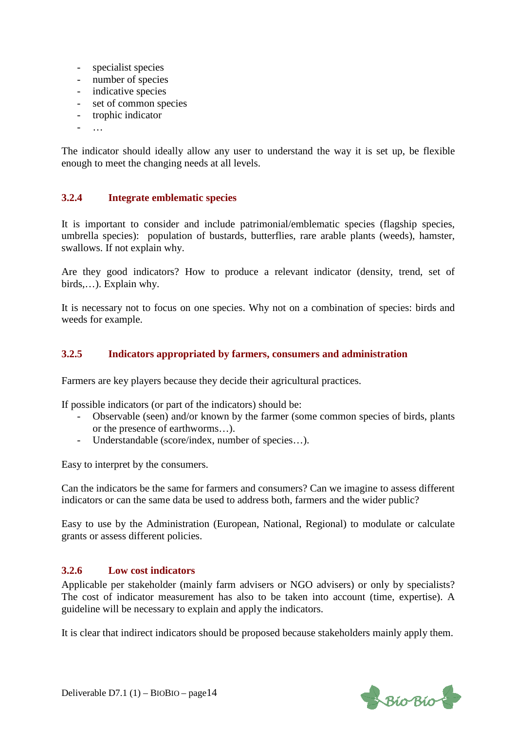- specialist species
- number of species
- indicative species
- set of common species
- trophic indicator
- $-$

The indicator should ideally allow any user to understand the way it is set up, be flexible enough to meet the changing needs at all levels.

#### **3.2.4 Integrate emblematic species**

It is important to consider and include patrimonial/emblematic species (flagship species, umbrella species): population of bustards, butterflies, rare arable plants (weeds), hamster, swallows. If not explain why.

Are they good indicators? How to produce a relevant indicator (density, trend, set of birds,…). Explain why.

It is necessary not to focus on one species. Why not on a combination of species: birds and weeds for example.

#### **3.2.5 Indicators appropriated by farmers, consumers and administration**

Farmers are key players because they decide their agricultural practices.

If possible indicators (or part of the indicators) should be:

- Observable (seen) and/or known by the farmer (some common species of birds, plants or the presence of earthworms…).
- Understandable (score/index, number of species…).

Easy to interpret by the consumers.

Can the indicators be the same for farmers and consumers? Can we imagine to assess different indicators or can the same data be used to address both, farmers and the wider public?

Easy to use by the Administration (European, National, Regional) to modulate or calculate grants or assess different policies.

#### **3.2.6 Low cost indicators**

Applicable per stakeholder (mainly farm advisers or NGO advisers) or only by specialists? The cost of indicator measurement has also to be taken into account (time, expertise). A guideline will be necessary to explain and apply the indicators.

It is clear that indirect indicators should be proposed because stakeholders mainly apply them.

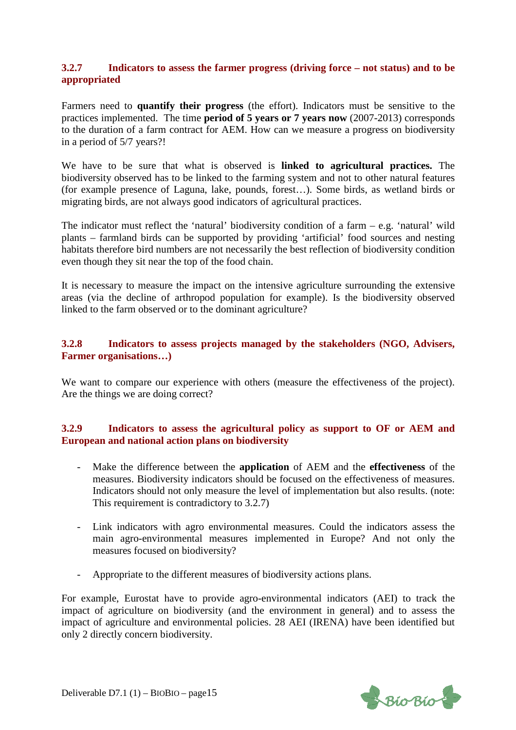#### **3.2.7 Indicators to assess the farmer progress (driving force – not status) and to be appropriated**

Farmers need to **quantify their progress** (the effort). Indicators must be sensitive to the practices implemented. The time **period of 5 years or 7 years now** (2007-2013) corresponds to the duration of a farm contract for AEM. How can we measure a progress on biodiversity in a period of 5/7 years?!

We have to be sure that what is observed is **linked to agricultural practices.** The biodiversity observed has to be linked to the farming system and not to other natural features (for example presence of Laguna, lake, pounds, forest…). Some birds, as wetland birds or migrating birds, are not always good indicators of agricultural practices.

The indicator must reflect the 'natural' biodiversity condition of a farm  $-e.g.$  'natural' wild plants – farmland birds can be supported by providing 'artificial' food sources and nesting habitats therefore bird numbers are not necessarily the best reflection of biodiversity condition even though they sit near the top of the food chain.

It is necessary to measure the impact on the intensive agriculture surrounding the extensive areas (via the decline of arthropod population for example). Is the biodiversity observed linked to the farm observed or to the dominant agriculture?

#### **3.2.8 Indicators to assess projects managed by the stakeholders (NGO, Advisers, Farmer organisations…)**

We want to compare our experience with others (measure the effectiveness of the project). Are the things we are doing correct?

#### **3.2.9 Indicators to assess the agricultural policy as support to OF or AEM and European and national action plans on biodiversity**

- Make the difference between the **application** of AEM and the **effectiveness** of the measures. Biodiversity indicators should be focused on the effectiveness of measures. Indicators should not only measure the level of implementation but also results. (note: This requirement is contradictory to 3.2.7)
- Link indicators with agro environmental measures. Could the indicators assess the main agro-environmental measures implemented in Europe? And not only the measures focused on biodiversity?
- Appropriate to the different measures of biodiversity actions plans.

For example, Eurostat have to provide agro-environmental indicators (AEI) to track the impact of agriculture on biodiversity (and the environment in general) and to assess the impact of agriculture and environmental policies. 28 AEI (IRENA) have been identified but only 2 directly concern biodiversity.

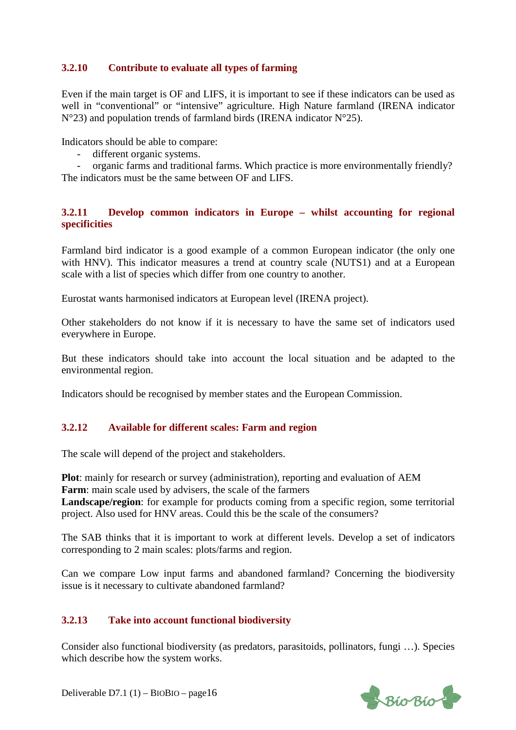#### **3.2.10 Contribute to evaluate all types of farming**

Even if the main target is OF and LIFS, it is important to see if these indicators can be used as well in "conventional" or "intensive" agriculture. High Nature farmland (IRENA indicator  $N^{\circ}23$ ) and population trends of farmland birds (IRENA indicator  $N^{\circ}25$ ).

Indicators should be able to compare:

- different organic systems.

- organic farms and traditional farms. Which practice is more environmentally friendly? The indicators must be the same between OF and LIFS.

#### **3.2.11 Develop common indicators in Europe – whilst accounting for regional specificities**

Farmland bird indicator is a good example of a common European indicator (the only one with HNV). This indicator measures a trend at country scale (NUTS1) and at a European scale with a list of species which differ from one country to another.

Eurostat wants harmonised indicators at European level (IRENA project).

Other stakeholders do not know if it is necessary to have the same set of indicators used everywhere in Europe.

But these indicators should take into account the local situation and be adapted to the environmental region.

Indicators should be recognised by member states and the European Commission.

#### **3.2.12 Available for different scales: Farm and region**

The scale will depend of the project and stakeholders.

**Plot**: mainly for research or survey (administration), reporting and evaluation of AEM **Farm**: main scale used by advisers, the scale of the farmers **Landscape/region**: for example for products coming from a specific region, some territorial project. Also used for HNV areas. Could this be the scale of the consumers?

The SAB thinks that it is important to work at different levels. Develop a set of indicators corresponding to 2 main scales: plots/farms and region.

Can we compare Low input farms and abandoned farmland? Concerning the biodiversity issue is it necessary to cultivate abandoned farmland?

#### **3.2.13 Take into account functional biodiversity**

Consider also functional biodiversity (as predators, parasitoids, pollinators, fungi …). Species which describe how the system works.

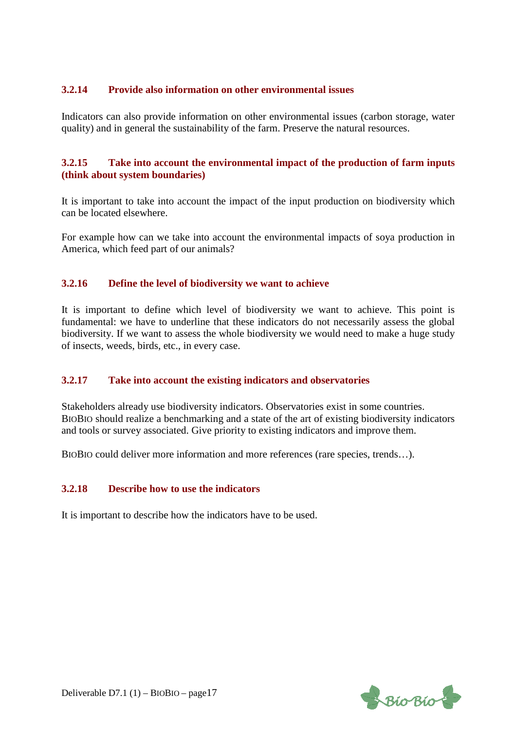#### **3.2.14 Provide also information on other environmental issues**

Indicators can also provide information on other environmental issues (carbon storage, water quality) and in general the sustainability of the farm. Preserve the natural resources.

#### **3.2.15 Take into account the environmental impact of the production of farm inputs (think about system boundaries)**

It is important to take into account the impact of the input production on biodiversity which can be located elsewhere.

For example how can we take into account the environmental impacts of soya production in America, which feed part of our animals?

#### **3.2.16 Define the level of biodiversity we want to achieve**

It is important to define which level of biodiversity we want to achieve. This point is fundamental: we have to underline that these indicators do not necessarily assess the global biodiversity. If we want to assess the whole biodiversity we would need to make a huge study of insects, weeds, birds, etc., in every case.

#### **3.2.17 Take into account the existing indicators and observatories**

Stakeholders already use biodiversity indicators. Observatories exist in some countries. BIOBIO should realize a benchmarking and a state of the art of existing biodiversity indicators and tools or survey associated. Give priority to existing indicators and improve them.

BIOBIO could deliver more information and more references (rare species, trends…).

#### **3.2.18 Describe how to use the indicators**

It is important to describe how the indicators have to be used.

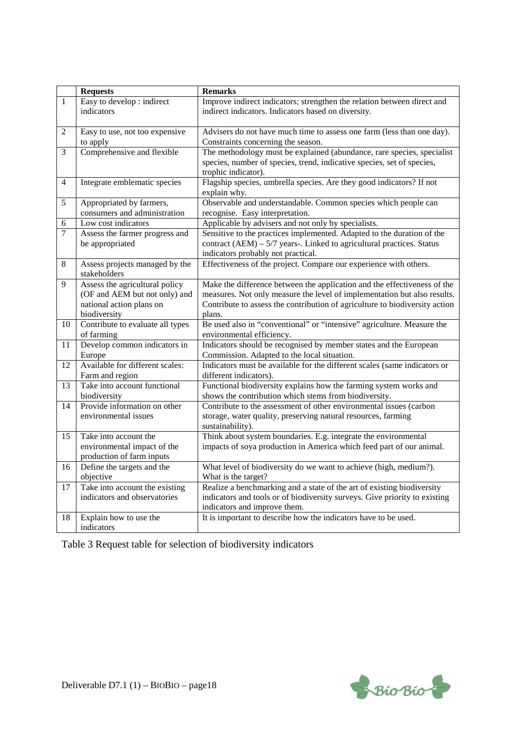|                 | <b>Requests</b>                                | <b>Remarks</b>                                                                                      |
|-----------------|------------------------------------------------|-----------------------------------------------------------------------------------------------------|
| $\mathbf{1}$    | Easy to develop : indirect                     | Improve indirect indicators; strengthen the relation between direct and                             |
|                 | indicators                                     | indirect indicators. Indicators based on diversity.                                                 |
|                 |                                                |                                                                                                     |
| $\overline{2}$  | Easy to use, not too expensive                 | Advisers do not have much time to assess one farm (less than one day).                              |
|                 | to apply                                       | Constraints concerning the season.                                                                  |
| 3               | Comprehensive and flexible                     | The methodology must be explained (abundance, rare species, specialist                              |
|                 |                                                | species, number of species, trend, indicative species, set of species,<br>trophic indicator).       |
| $\overline{4}$  | Integrate emblematic species                   | Flagship species, umbrella species. Are they good indicators? If not                                |
|                 |                                                | explain why.                                                                                        |
| 5               | Appropriated by farmers,                       | Observable and understandable. Common species which people can                                      |
|                 | consumers and administration                   | recognise. Easy interpretation.                                                                     |
| 6               | Low cost indicators                            | Applicable by advisers and not only by specialists.                                                 |
| $\overline{7}$  | Assess the farmer progress and                 | Sensitive to the practices implemented. Adapted to the duration of the                              |
|                 | be appropriated                                | contract $(AEM) - 5/7$ years-. Linked to agricultural practices. Status                             |
|                 |                                                | indicators probably not practical.                                                                  |
| 8               | Assess projects managed by the<br>stakeholders | Effectiveness of the project. Compare our experience with others.                                   |
| 9               | Assess the agricultural policy                 | Make the difference between the application and the effectiveness of the                            |
|                 | (OF and AEM but not only) and                  | measures. Not only measure the level of implementation but also results.                            |
|                 | national action plans on                       | Contribute to assess the contribution of agriculture to biodiversity action                         |
|                 | biodiversity                                   | plans.                                                                                              |
| 10              | Contribute to evaluate all types               | Be used also in "conventional" or "intensive" agriculture. Measure the                              |
|                 | of farming                                     | environmental efficiency.                                                                           |
| $\overline{11}$ | Develop common indicators in                   | Indicators should be recognised by member states and the European                                   |
| 12              | Europe<br>Available for different scales:      | Commission. Adapted to the local situation.                                                         |
|                 | Farm and region                                | Indicators must be available for the different scales (same indicators or<br>different indicators). |
| 13              | Take into account functional                   | Functional biodiversity explains how the farming system works and                                   |
|                 | biodiversity                                   | shows the contribution which stems from biodiversity.                                               |
| 14              | Provide information on other                   | Contribute to the assessment of other environmental issues (carbon                                  |
|                 | environmental issues                           | storage, water quality, preserving natural resources, farming                                       |
|                 |                                                | sustainability).                                                                                    |
| 15              | Take into account the                          | Think about system boundaries. E.g. integrate the environmental                                     |
|                 | environmental impact of the                    | impacts of soya production in America which feed part of our animal.                                |
|                 | production of farm inputs                      |                                                                                                     |
| 16              | Define the targets and the                     | What level of biodiversity do we want to achieve (high, medium?).                                   |
|                 | objective                                      | What is the target?                                                                                 |
| 17              | Take into account the existing                 | Realize a benchmarking and a state of the art of existing biodiversity                              |
|                 | indicators and observatories                   | indicators and tools or of biodiversity surveys. Give priority to existing                          |
|                 |                                                | indicators and improve them.                                                                        |
| 18              | Explain how to use the<br>indicators           | It is important to describe how the indicators have to be used.                                     |

Table 3 Request table for selection of biodiversity indicators

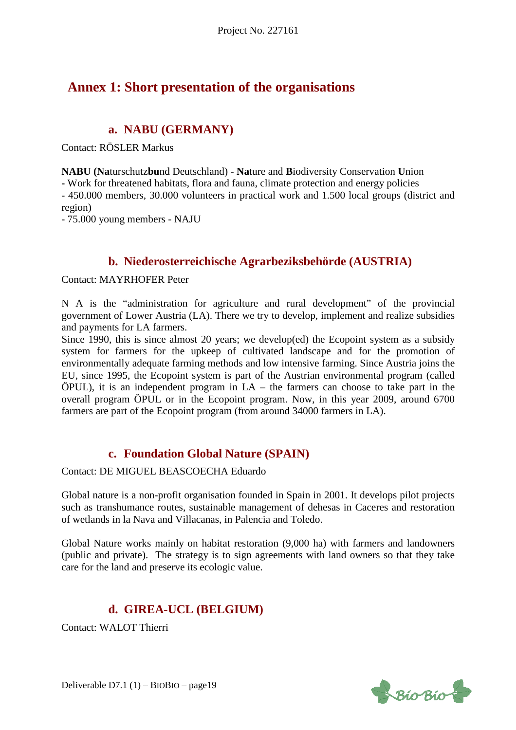## **Annex 1: Short presentation of the organisations**

## **a. NABU (GERMANY)**

Contact: RÖSLER Markus

**NABU (Na**turschutz**bu**nd Deutschland) - **Na**ture and **B**iodiversity Conservation **U**nion

**-** Work for threatened habitats, flora and fauna, climate protection and energy policies

- 450.000 members, 30.000 volunteers in practical work and 1.500 local groups (district and region)

- 75.000 young members - NAJU

### **b. Niederosterreichische Agrarbeziksbehörde (AUSTRIA)**

Contact: MAYRHOFER Peter

N A is the "administration for agriculture and rural development" of the provincial government of Lower Austria (LA). There we try to develop, implement and realize subsidies and payments for LA farmers.

Since 1990, this is since almost 20 years; we develop(ed) the Ecopoint system as a subsidy system for farmers for the upkeep of cultivated landscape and for the promotion of environmentally adequate farming methods and low intensive farming. Since Austria joins the EU, since 1995, the Ecopoint system is part of the Austrian environmental program (called ÖPUL), it is an independent program in LA – the farmers can choose to take part in the overall program ÖPUL or in the Ecopoint program. Now, in this year 2009, around 6700 farmers are part of the Ecopoint program (from around 34000 farmers in LA).

### **c. Foundation Global Nature (SPAIN)**

Contact: DE MIGUEL BEASCOECHA Eduardo

Global nature is a non-profit organisation founded in Spain in 2001. It develops pilot projects such as transhumance routes, sustainable management of dehesas in Caceres and restoration of wetlands in la Nava and Villacanas, in Palencia and Toledo.

Global Nature works mainly on habitat restoration (9,000 ha) with farmers and landowners (public and private). The strategy is to sign agreements with land owners so that they take care for the land and preserve its ecologic value.

## **d. GIREA-UCL (BELGIUM)**

Contact: WALOT Thierri



Deliverable D7.1 (1) – BIOBIO – page19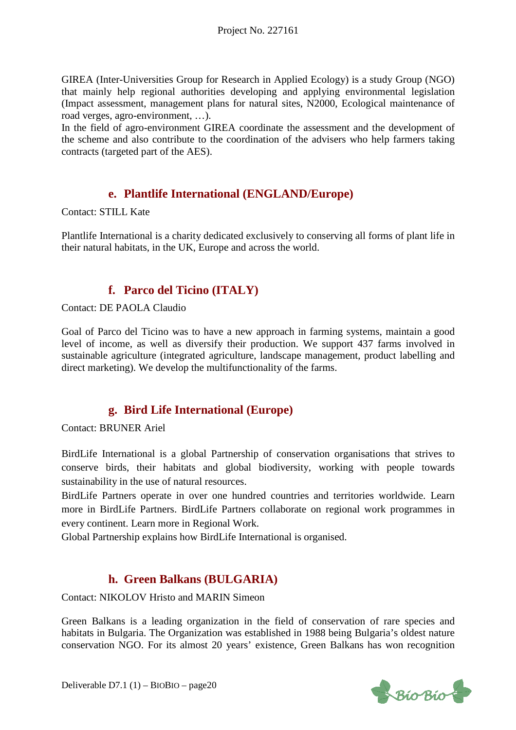GIREA (Inter-Universities Group for Research in Applied Ecology) is a study Group (NGO) that mainly help regional authorities developing and applying environmental legislation (Impact assessment, management plans for natural sites, N2000, Ecological maintenance of road verges, agro-environment, …).

In the field of agro-environment GIREA coordinate the assessment and the development of the scheme and also contribute to the coordination of the advisers who help farmers taking contracts (targeted part of the AES).

### **e. Plantlife International (ENGLAND/Europe)**

Contact: STILL Kate

Plantlife International is a charity dedicated exclusively to conserving all forms of plant life in their natural habitats, in the UK, Europe and across the world.

## **f. Parco del Ticino (ITALY)**

Contact: DE PAOLA Claudio

Goal of Parco del Ticino was to have a new approach in farming systems, maintain a good level of income, as well as diversify their production. We support 437 farms involved in sustainable agriculture (integrated agriculture, landscape management, product labelling and direct marketing). We develop the multifunctionality of the farms.

## **g. Bird Life International (Europe)**

Contact: BRUNER Ariel

BirdLife International is a global Partnership of conservation organisations that strives to conserve birds, their habitats and global biodiversity, working with people towards sustainability in the use of natural resources.

BirdLife Partners operate in over one hundred countries and territories worldwide. Learn more in BirdLife Partners. BirdLife Partners collaborate on regional work programmes in every continent. Learn more in Regional Work.

Global Partnership explains how BirdLife International is organised.

## **h. Green Balkans (BULGARIA)**

Contact: NIKOLOV Hristo and MARIN Simeon

Green Balkans is a leading organization in the field of conservation of rare species and habitats in Bulgaria. The Organization was established in 1988 being Bulgaria's oldest nature conservation NGO. For its almost 20 years' existence, Green Balkans has won recognition

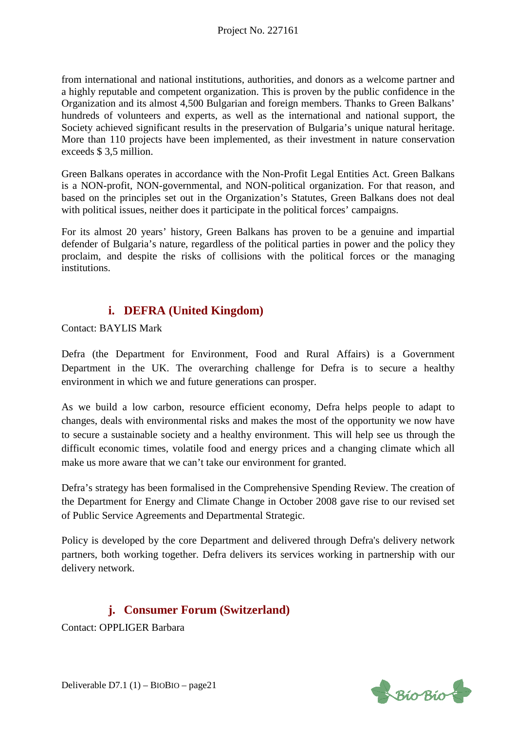from international and national institutions, authorities, and donors as a welcome partner and a highly reputable and competent organization. This is proven by the public confidence in the Organization and its almost 4,500 Bulgarian and foreign members. Thanks to Green Balkans' hundreds of volunteers and experts, as well as the international and national support, the Society achieved significant results in the preservation of Bulgaria's unique natural heritage. More than 110 projects have been implemented, as their investment in nature conservation exceeds \$ 3,5 million.

Green Balkans operates in accordance with the Non-Profit Legal Entities Act. Green Balkans is a NON-profit, NON-governmental, and NON-political organization. For that reason, and based on the principles set out in the Organization's Statutes, Green Balkans does not deal with political issues, neither does it participate in the political forces' campaigns.

For its almost 20 years' history, Green Balkans has proven to be a genuine and impartial defender of Bulgaria's nature, regardless of the political parties in power and the policy they proclaim, and despite the risks of collisions with the political forces or the managing institutions.

## **i. DEFRA (United Kingdom)**

Contact: BAYLIS Mark

Defra (the Department for Environment, Food and Rural Affairs) is a Government Department in the UK. The overarching challenge for Defra is to secure a healthy environment in which we and future generations can prosper.

As we build a low carbon, resource efficient economy, Defra helps people to adapt to changes, deals with environmental risks and makes the most of the opportunity we now have to secure a sustainable society and a healthy environment. This will help see us through the difficult economic times, volatile food and energy prices and a changing climate which all make us more aware that we can't take our environment for granted.

Defra's strategy has been formalised in the Comprehensive Spending Review. The creation of the Department for Energy and Climate Change in October 2008 gave rise to our revised set of Public Service Agreements and Departmental Strategic.

Policy is developed by the core Department and delivered through Defra's delivery network partners, both working together. Defra delivers its services working in partnership with our delivery network.

## **j. Consumer Forum (Switzerland)**

Contact: OPPLIGER Barbara

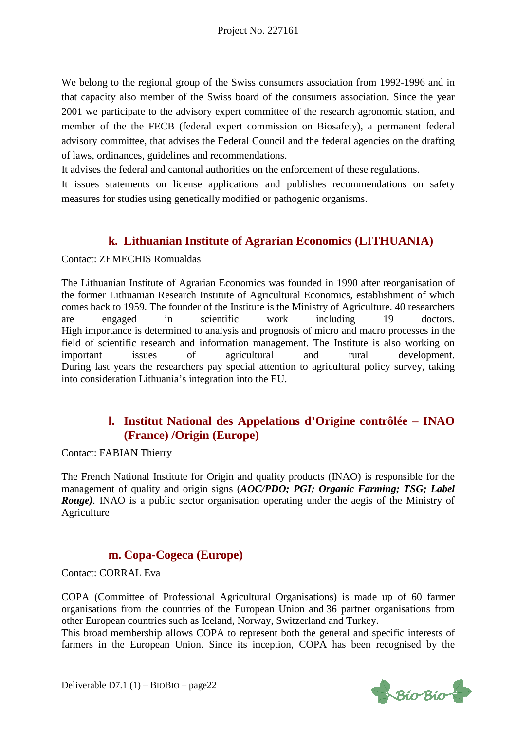We belong to the regional group of the Swiss consumers association from 1992-1996 and in that capacity also member of the Swiss board of the consumers association. Since the year 2001 we participate to the advisory expert committee of the research agronomic station, and member of the the FECB (federal expert commission on Biosafety), a permanent federal advisory committee, that advises the Federal Council and the federal agencies on the drafting of laws, ordinances, guidelines and recommendations.

It advises the federal and cantonal authorities on the enforcement of these regulations.

It issues statements on license applications and publishes recommendations on safety measures for studies using genetically modified or pathogenic organisms.

## **k. Lithuanian Institute of Agrarian Economics (LITHUANIA)**

Contact: ZEMECHIS Romualdas

The Lithuanian Institute of Agrarian Economics was founded in 1990 after reorganisation of the former Lithuanian Research Institute of Agricultural Economics, establishment of which comes back to 1959. The founder of the Institute is the Ministry of Agriculture. 40 researchers are engaged in scientific work including 19 doctors. High importance is determined to analysis and prognosis of micro and macro processes in the field of scientific research and information management. The Institute is also working on important issues of agricultural and rural development. During last years the researchers pay special attention to agricultural policy survey, taking into consideration Lithuania's integration into the EU.

### **l. Institut National des Appelations d'Origine contrôlée – INAO (France) /Origin (Europe)**

Contact: FABIAN Thierry

The French National Institute for Origin and quality products (INAO) is responsible for the management of quality and origin signs (*AOC/PDO; PGI; Organic Farming; TSG; Label Rouge*). INAO is a public sector organisation operating under the aegis of the Ministry of Agriculture

### **m. Copa-Cogeca (Europe)**

Contact: CORRAL Eva

COPA (Committee of Professional Agricultural Organisations) is made up of 60 farmer organisations from the countries of the European Union and 36 partner organisations from other European countries such as Iceland, Norway, Switzerland and Turkey.

This broad membership allows COPA to represent both the general and specific interests of farmers in the European Union. Since its inception, COPA has been recognised by the